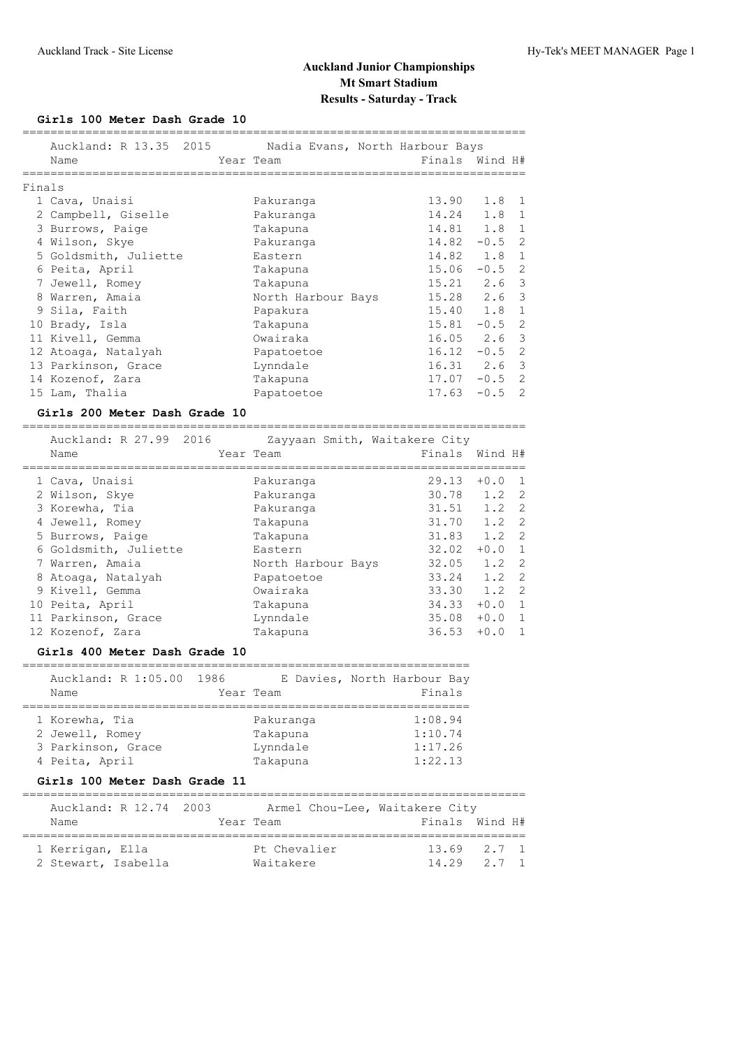## **Girls 100 Meter Dash Grade 10**

|        | Auckland: R 13.35 2015 Nadia Evans, North Harbour Bays<br>Name | Year Team |                               | Finals Wind H#          |          |                |
|--------|----------------------------------------------------------------|-----------|-------------------------------|-------------------------|----------|----------------|
| Finals | ============<br>============================                   |           |                               | ----------------------- |          |                |
|        | 1 Cava, Unaisi                                                 |           | Pakuranga                     | 13.90                   | 1.8      | 1              |
|        | 2 Campbell, Giselle                                            |           | Pakuranga                     | 14.24                   | 1.8      | $\mathbf{1}$   |
|        | 3 Burrows, Paige                                               |           | Takapuna                      | 14.81                   | 1.8      | $\mathbf{1}$   |
|        | 4 Wilson, Skye                                                 |           | Pakuranga                     | $14.82 - 0.5$           |          | $\mathbf{2}$   |
|        | 5 Goldsmith, Juliette                                          |           | Eastern                       | 14.82                   | 1.8      | $\mathbf{1}$   |
|        | 6 Peita, April                                                 |           | Takapuna                      | $15.06 - 0.5$           |          | $\overline{c}$ |
|        | 7 Jewell, Romey                                                |           | Takapuna                      | 15.21                   | 2.6      | 3              |
|        | 8 Warren, Amaia                                                |           | North Harbour Bays            | 15.28                   | 2.6      | 3              |
|        | 9 Sila, Faith                                                  |           | Papakura                      | 15.40                   | 1.8      | $\mathbf 1$    |
|        | 10 Brady, Isla                                                 |           | Takapuna                      | 15.81                   | $-0.5$   | $\overline{2}$ |
|        | 11 Kivell, Gemma                                               |           | Owairaka                      | 16.05 2.6               |          | 3              |
|        | 12 Atoaga, Natalyah                                            |           | Papatoetoe                    | $16.12 - 0.5$           |          | $\overline{2}$ |
|        | 13 Parkinson, Grace                                            |           | Lynndale                      | 16.31                   | 2.6      | 3              |
|        | 14 Kozenof, Zara                                               |           | Takapuna                      | $17.07 - 0.5$           |          | $\overline{2}$ |
|        | 15 Lam, Thalia                                                 |           | Papatoetoe                    | 17.63                   | $-0.5$ 2 |                |
|        | Girls 200 Meter Dash Grade 10                                  |           |                               |                         |          |                |
|        | Auckland: R 27.99 2016                                         |           | Zayyaan Smith, Waitakere City |                         |          |                |
|        | Name                                                           |           | Year Team                     | Finals                  | Wind H#  |                |
|        | 1 Cava, Unaisi                                                 |           | Pakuranga                     | 29.13                   | $+0.0$   | $\mathbf{1}$   |
|        | 2 Wilson, Skye                                                 |           | Pakuranga                     | 30.78                   | 1.2      | $\overline{2}$ |
|        | 3 Korewha, Tia                                                 |           | Pakuranga                     | 31.51                   | 1.2      | $\overline{2}$ |
|        | 4 Jewell, Romey                                                |           | Takapuna                      | 31.70                   | 1.2      | $\overline{2}$ |
|        | 5 Burrows, Paige                                               |           | Takapuna                      | 31.83                   | 1.2      | 2              |
|        | 6 Goldsmith, Juliette                                          |           | Eastern                       | $32.02 + 0.0$           |          | 1              |
|        | 7 Warren, Amaia                                                |           | North Harbour Bays            | 32.05                   | 1.2      | $\mathbf{2}$   |
|        | 8 Atoaga, Natalyah                                             |           | Papatoetoe                    | 33.24                   | 1.2      | $\overline{2}$ |
|        | 9 Kivell, Gemma                                                |           | Owairaka                      | 33.30                   | 1.2      | 2              |
|        | 10 Peita, April                                                |           | Takapuna                      | 34.33                   | $+0.0$   | $\mathbf 1$    |
|        | 11 Parkinson, Grace                                            |           | Lynndale                      | 35.08                   | $+0.0$   | $\mathbf 1$    |
|        | 12 Kozenof, Zara                                               |           | Takapuna                      | 36.53                   | $+0.0$   | $\mathbf{1}$   |
|        | Girls 400 Meter Dash Grade 10                                  |           |                               |                         |          |                |
|        | Auckland: R 1:05.00 1986                                       |           | E Davies, North Harbour Bay   |                         |          |                |
|        | Name                                                           |           | Year Team                     | Finals                  |          |                |
|        | 1 Korewha, Tia                                                 |           | Pakuranga                     | 1:08.94                 |          |                |
|        | 2 Jewell, Romey                                                |           | Takapuna                      | 1:10.74                 |          |                |
|        | 3 Parkinson, Grace                                             |           | Lynndale                      | 1:17.26                 |          |                |
|        | 4 Peita, April                                                 |           | Takapuna                      | 1:22.13                 |          |                |

## **Girls 100 Meter Dash Grade 11**

| Auckland: R 12.74 2003                  |  |                           | Armel Chou-Lee, Waitakere City |                                    |  |
|-----------------------------------------|--|---------------------------|--------------------------------|------------------------------------|--|
| Name                                    |  | Year Team                 |                                | Finals Wind H#                     |  |
| 1 Kerrigan, Ella<br>2 Stewart, Isabella |  | Pt Chevalier<br>Waitakere |                                | $13.69$ $2.7$ 1<br>$14.29$ $2.7$ 1 |  |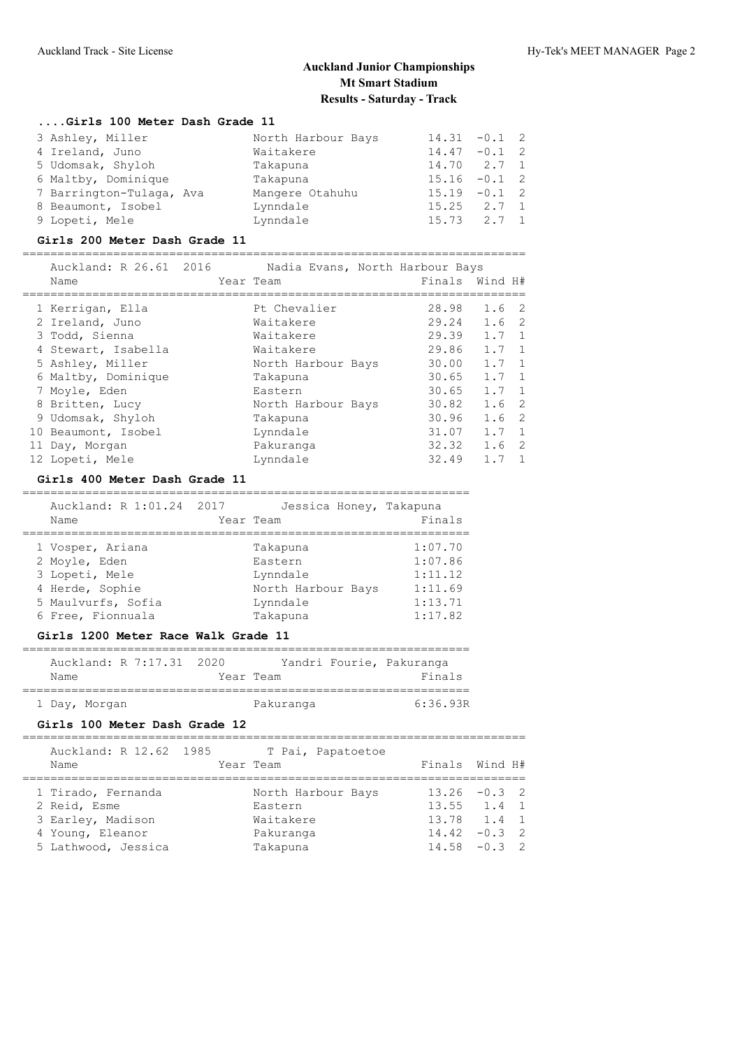#### **....Girls 100 Meter Dash Grade 11**

| 3 Ashley, Miller         | North Harbour Bays | $14.31 - 0.1$ 2 |       |  |
|--------------------------|--------------------|-----------------|-------|--|
| 4 Ireland, Juno          | Waitakere          | $14.47 - 0.1$ 2 |       |  |
| 5 Udomsak, Shyloh        | Takapuna           | 14.70 2.7 1     |       |  |
| 6 Maltby, Dominique      | Takapuna           | $15.16 - 0.1$ 2 |       |  |
| 7 Barrington-Tulaga, Ava | Mangere Otahuhu    | $15.19 - 0.1$ 2 |       |  |
| 8 Beaumont, Isobel       | Lynndale           | $15.25$ $2.7$ 1 |       |  |
| 9 Lopeti, Mele           | Lynndale           | 15.73           | 2.7 1 |  |

#### **Girls 200 Meter Dash Grade 11**

========================================================================

| Auckland: R 26.61 2016 | Nadia Evans, North Harbour Bays |                |                  |                |
|------------------------|---------------------------------|----------------|------------------|----------------|
| Name                   | Year Team                       | Finals Wind H# |                  |                |
|                        |                                 |                |                  |                |
| 1 Kerrigan, Ella       | Pt Chevalier                    | 28.98          | 1.6 <sub>2</sub> |                |
| 2 Ireland, Juno        | Waitakere                       | 29.24          | 1.6 <sub>2</sub> |                |
| 3 Todd, Sienna         | Waitakere                       | 29.39          | $1.7 \quad 1$    |                |
| 4 Stewart, Isabella    | Waitakere                       | 29.86          | $1.7 \quad 1$    |                |
| 5 Ashley, Miller       | North Harbour Bays              | 30.00          | $1.7 \quad 1$    |                |
| 6 Maltby, Dominique    | Takapuna                        | 30.65          | $1.7 \quad 1$    |                |
| 7 Moyle, Eden          | Eastern                         | 30.65          | $1.7 \quad 1$    |                |
| 8 Britten, Lucy        | North Harbour Bays              | 30.82          | 1.6 <sub>2</sub> |                |
| 9 Udomsak, Shyloh      | Takapuna                        | 30.96          | 1.6 <sub>2</sub> |                |
| 10 Beaumont, Isobel    | Lynndale                        | 31.07          | $1.7 \quad 1$    |                |
| 11 Day, Morgan         | Pakuranga                       | 32.32          | 1.6 <sub>2</sub> |                |
| 12 Lopeti, Mele        | Lynndale                        | 32.49          | 1.7              | $\overline{1}$ |

#### **Girls 400 Meter Dash Grade 11**

## ================================================================

| Auckland: R 1:01.24 2017<br>Name | Jessica Honey, Takapuna<br>Year Team | Finals  |
|----------------------------------|--------------------------------------|---------|
| 1 Vosper, Ariana                 | Takapuna                             | 1:07.70 |
| 2 Moyle, Eden                    | Eastern                              | 1:07.86 |
| 3 Lopeti, Mele                   | Lynndale                             | 1:11.12 |
| 4 Herde, Sophie                  | North Harbour Bays                   | 1:11.69 |
| 5 Maulvurfs, Sofia               | Lynndale                             | 1:13.71 |
| 6 Free, Fionnuala                | Takapuna                             | 1:17.82 |

#### **Girls 1200 Meter Race Walk Grade 11**

|      |               | Auckland: R 7:17.31 2020 |           | Yandri Fourie, Pakuranga |
|------|---------------|--------------------------|-----------|--------------------------|
| Name |               |                          | Year Team | Finals                   |
|      | 1 Day, Morgan |                          | Pakuranga | 6:36.93R                 |

#### **Girls 100 Meter Dash Grade 12**

| Auckland: R 12.62 1985 | T Pai, Papatoetoe  |                 |
|------------------------|--------------------|-----------------|
| Name                   | Year Team          | Finals Wind H#  |
| 1 Tirado, Fernanda     | North Harbour Bays | $13.26 - 0.3$ 2 |
| 2 Reid, Esme           | Eastern            | $13.55$ $1.4$ 1 |
| 3 Earley, Madison      | Waitakere          | 13.78 1.4 1     |
| 4 Young, Eleanor       | Pakuranga          | $14.42 - 0.3$ 2 |
| 5 Lathwood, Jessica    | Takapuna           | $14.58 - 0.3$ 2 |
|                        |                    |                 |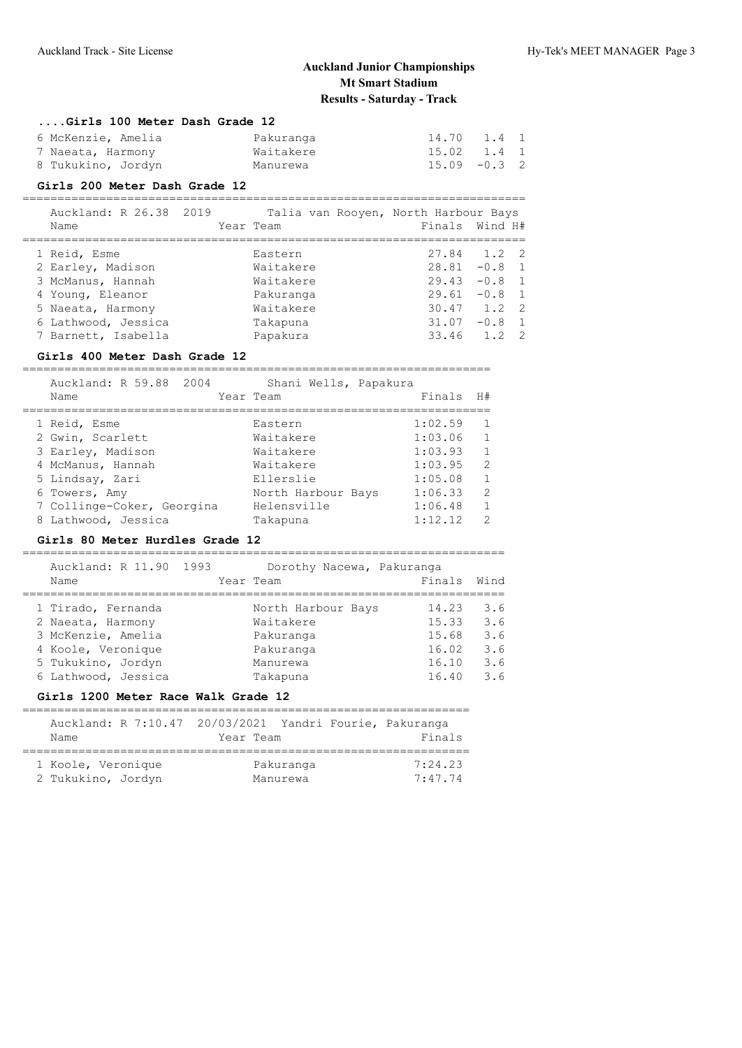#### **....Girls 100 Meter Dash Grade 12**

| 6 McKenzie, Amelia | Pakuranga | 14.70 1.4 1     |  |
|--------------------|-----------|-----------------|--|
| 7 Naeata, Harmony  | Waitakere | 15.02 1.4 1     |  |
| 8 Tukukino, Jordyn | Manurewa  | $15.09 - 0.3$ 2 |  |

#### **Girls 200 Meter Dash Grade 12**

| Auckland: R 26.38 2019 |           | Talia van Rooyen, North Harbour Bays |                 |  |
|------------------------|-----------|--------------------------------------|-----------------|--|
| Name                   | Year Team | Finals Wind H#                       |                 |  |
|                        |           |                                      |                 |  |
| 1 Reid, Esme           | Eastern   |                                      | $27.84$ 1.2 2   |  |
| 2 Earley, Madison      | Waitakere |                                      | $28.81 - 0.8$ 1 |  |
| 3 McManus, Hannah      | Waitakere |                                      | $29.43 - 0.8$ 1 |  |
| 4 Young, Eleanor       | Pakuranga |                                      | $29.61 - 0.8$ 1 |  |
| 5 Naeata, Harmony      | Waitakere |                                      | $30.47$ 1.2 2   |  |
| 6 Lathwood, Jessica    | Takapuna  |                                      | $31.07 -0.8$ 1  |  |
| 7 Barnett, Isabella    | Papakura  |                                      | 33.46 1.2 2     |  |
|                        |           |                                      |                 |  |

## **Girls 400 Meter Dash Grade 12**

| Auckland: R 59.88 2004<br>Name | Shani Wells, Papakura<br>Year Team | Finals  | H#            |
|--------------------------------|------------------------------------|---------|---------------|
| 1 Reid, Esme                   | Eastern                            | 1:02.59 |               |
| 2 Gwin, Scarlett               | Waitakere                          | 1:03.06 |               |
| 3 Earley, Madison              | Waitakere                          | 1:03.93 |               |
| 4 McManus, Hannah              | Waitakere                          | 1:03.95 | $\mathcal{L}$ |
| 5 Lindsay, Zari                | Ellerslie                          | 1:05.08 |               |
| 6 Towers, Amy                  | North Harbour Bays                 | 1:06.33 | $\mathcal{P}$ |
| 7 Collinge-Coker, Georgina     | Helensville                        | 1:06.48 |               |
| 8 Lathwood, Jessica            | Takapuna                           | 1:12.12 | っ             |

#### **Girls 80 Meter Hurdles Grade 12**

| Auckland: R 11.90 1993<br>Name | Dorothy Nacewa, Pakuranga<br>Year Team | Finals | Wind |
|--------------------------------|----------------------------------------|--------|------|
| 1 Tirado, Fernanda             | North Harbour Bays                     | 14.23  | 3.6  |
| 2 Naeata, Harmony              | Waitakere                              | 15.33  | 3.6  |
| 3 McKenzie, Amelia             | Pakuranga                              | 15.68  | 3.6  |
| 4 Koole, Veronique             | Pakuranga                              | 16.02  | 3.6  |
| 5 Tukukino, Jordyn             | Manurewa                               | 16.10  | 3.6  |
| 6 Lathwood, Jessica            | Takapuna                               | 16.40  | 3.6  |

#### **Girls 1200 Meter Race Walk Grade 12**

| Auckland: R 7:10.47 20/03/2021 Yandri Fourie, Pakuranga |           |                       |                    |
|---------------------------------------------------------|-----------|-----------------------|--------------------|
| Name                                                    | Year Team |                       | Finals             |
|                                                         |           |                       |                    |
| 1 Koole, Veronique<br>2 Tukukino, Jordyn                |           | Pakuranga<br>Manurewa | 7:24.23<br>7:47.74 |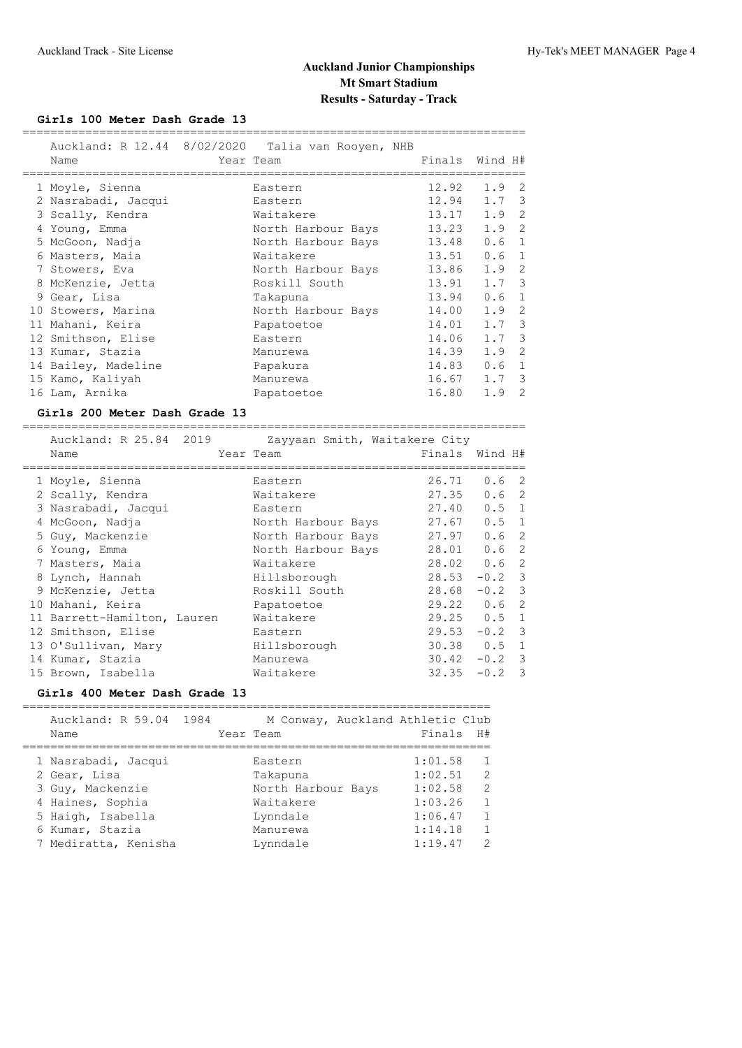## **Girls 100 Meter Dash Grade 13**

| Name                                   |      | Auckland: R 12.44 8/02/2020 Talia van Rooyen, NHB<br>Year Team | Finals                | Wind H#          |                     |
|----------------------------------------|------|----------------------------------------------------------------|-----------------------|------------------|---------------------|
|                                        |      |                                                                |                       |                  |                     |
| 1 Moyle, Sienna                        |      | Eastern                                                        | 12.92                 | 1.9              | 2                   |
| 2 Nasrabadi, Jacqui                    |      | Eastern                                                        | 12.94                 | 1.7              | $\mathcal{S}$       |
| 3 Scally, Kendra                       |      | Waitakere                                                      | 13.17                 | 1.9              | $\overline{c}$      |
| 4 Young, Emma                          |      | North Harbour Bays                                             | 13.23                 | 1.9              | 2                   |
| 5 McGoon, Nadja                        |      | North Harbour Bays                                             | 13.48                 | 0.6              | $\mathbf{1}$        |
| 6 Masters, Maia                        |      | Waitakere                                                      | 13.51                 | 0.6              | $\mathbf{1}$        |
| 7 Stowers, Eva                         |      | North Harbour Bays                                             | 13.86                 | 1.9              | $\mathbf{2}$        |
| 8 McKenzie, Jetta                      |      | Roskill South                                                  | 13.91                 | 1.7              | $\mathcal{E}$       |
| 9 Gear, Lisa                           |      | Takapuna                                                       | 13.94                 | 0.6              | $\mathbf{1}$        |
| 10 Stowers, Marina                     |      | North Harbour Bays                                             | 14.00                 | 1.9              | $\overline{2}$      |
| 11 Mahani, Keira                       |      | Papatoetoe                                                     | 14.01                 | 1.7              | $\mathcal{E}$       |
| 12 Smithson, Elise                     |      | Eastern                                                        | 14.06                 | 1.7              | $\mathfrak{Z}$      |
| 13 Kumar, Stazia                       |      | Manurewa                                                       | 14.39                 | 1.9              | $\overline{2}$      |
| 14 Bailey, Madeline                    |      | Papakura                                                       | 14.83                 | 0.6              | $\mathbf{1}$        |
| 15 Kamo, Kaliyah                       |      | Manurewa                                                       | 16.67                 | 1.7              | $\mathcal{S}$       |
| 16 Lam, Arnika                         |      | Papatoetoe                                                     | 16.80                 | 1.9              | $\overline{2}$      |
|                                        |      |                                                                |                       |                  |                     |
| Girls 200 Meter Dash Grade 13          |      |                                                                |                       |                  |                     |
|                                        |      |                                                                |                       |                  |                     |
| Auckland: R 25.84                      | 2019 | Zayyaan Smith, Waitakere City                                  |                       |                  |                     |
| Name                                   |      | Year Team                                                      | Finals                | Wind H#          |                     |
| ___________________                    |      | _____________                                                  | ===================== |                  |                     |
| 1 Moyle, Sienna                        |      | Eastern                                                        | 26.71                 | 0.6              | $\overline{c}$      |
| 2 Scally, Kendra                       |      | Waitakere                                                      | 27.35                 | 0.6              | 2                   |
| 3 Nasrabadi, Jacqui                    |      | Eastern                                                        | 27.40                 | 0.5              | $\mathbf{1}$        |
| 4 McGoon, Nadja                        |      | North Harbour Bays                                             | 27.67                 | 0.5              | $\mathbf{1}$        |
| 5 Guy, Mackenzie                       |      | North Harbour Bays                                             | 27.97                 | 0.6              | 2                   |
| 6 Young, Emma                          |      | North Harbour Bays                                             | 28.01                 | 0.6              | $\overline{2}$      |
| 7 Masters, Maia                        |      | Waitakere                                                      | 28.02                 | 0.6              | $\overline{c}$      |
| 8 Lynch, Hannah                        |      | Hillsborough                                                   | 28.53                 | $-0.2$           | $\mathfrak{Z}$      |
| 9 McKenzie, Jetta                      |      | Roskill South                                                  | 28.68                 | $-0.2$           | $\mathfrak{Z}$      |
| 10 Mahani, Keira                       |      | Papatoetoe                                                     | 29.22                 | 0.6              | $\overline{c}$      |
| 11 Barrett-Hamilton, Lauren            |      | Waitakere                                                      | 29.25                 | 0.5              | $\mathbf{1}$        |
| 12 Smithson, Elise                     |      | Eastern                                                        | 29.53                 | $-0.2$           | $\mathcal{E}$       |
| 13 O'Sullivan, Mary                    |      | Hillsborough                                                   | 30.38                 | 0.5              | $\mathbf{1}$        |
| 14 Kumar, Stazia<br>15 Brown, Isabella |      | Manurewa<br>Waitakere                                          | 30.42<br>32.35        | $-0.2$<br>$-0.2$ | $\mathfrak{Z}$<br>3 |

## **Girls 400 Meter Dash Grade 13**

| Auckland: R 59.04 1984<br>Name          |  | M Conway, Auckland Athletic Club<br>Year Team | Finals H#          |                              |
|-----------------------------------------|--|-----------------------------------------------|--------------------|------------------------------|
| 1 Nasrabadi, Jacqui<br>2 Gear, Lisa     |  | Eastern                                       | 1:01.58<br>1:02.51 | $\mathcal{L}$                |
| 3 Guy, Mackenzie                        |  | Takapuna<br>North Harbour Bays                | 1:02.58            | $\mathcal{L}$                |
| 4 Haines, Sophia<br>5 Haigh, Isabella   |  | Waitakere<br>Lynndale                         | 1:03.26<br>1:06.47 | $\mathbf{1}$<br>$\mathbf{1}$ |
| 6 Kumar, Stazia<br>7 Mediratta, Kenisha |  | Manurewa<br>Lynndale                          | 1:14.18<br>1:19.47 | $\mathcal{P}$                |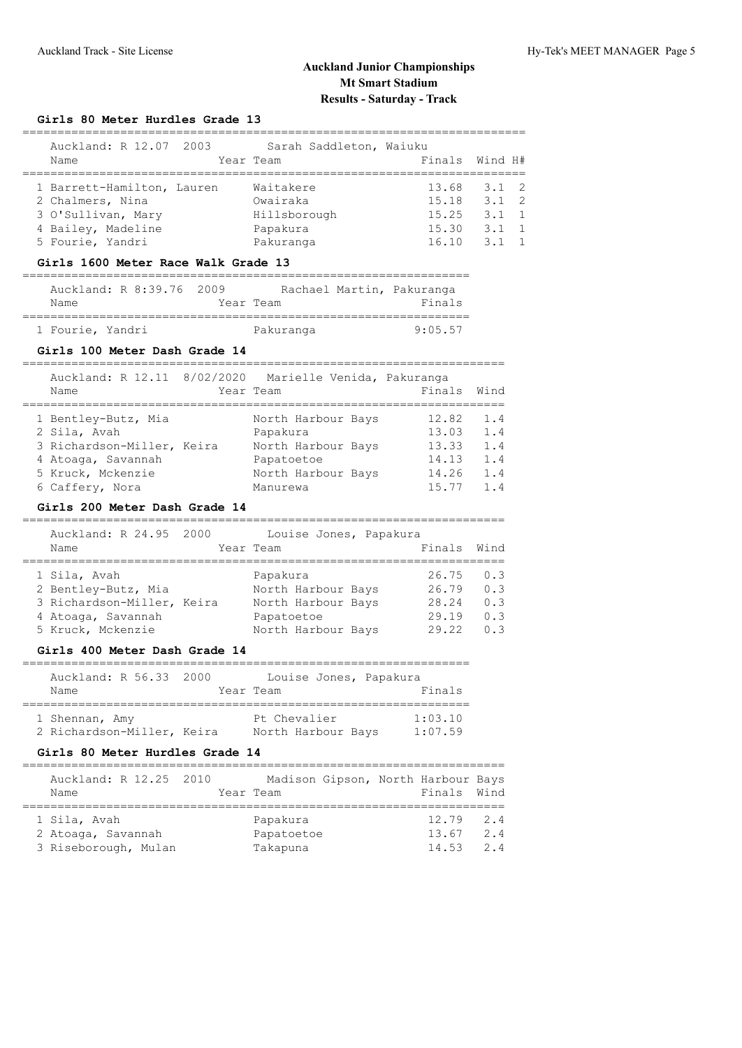=====================================================================

### **Girls 80 Meter Hurdles Grade 13**

| Auckland: R 12.07 2003<br>Name                                                             | Sarah Saddleton, Waiuku<br>Year Team              |                                  | Finals Wind H#                                                   |
|--------------------------------------------------------------------------------------------|---------------------------------------------------|----------------------------------|------------------------------------------------------------------|
| 1 Barrett-Hamilton, Lauren<br>2 Chalmers, Nina<br>3 O'Sullivan, Mary<br>4 Bailey, Madeline | Waitakere<br>Owairaka<br>Hillsborough<br>Papakura | 13.68<br>15.18<br>15.25<br>15.30 | $3.1 \quad 2$<br>$3.1 \quad 2$<br>$3.1 \quad 1$<br>$3.1 \quad 1$ |
| 5 Fourie, Yandri                                                                           | Pakuranga                                         | 16.10                            | $3.1 \quad 1$                                                    |
|                                                                                            |                                                   |                                  |                                                                  |

#### **Girls 1600 Meter Race Walk Grade 13**

| Auckland: R 8:39.76 2009 |  |           | Rachael Martin, Pakuranga |
|--------------------------|--|-----------|---------------------------|
| Name                     |  | Year Team | Finals                    |
|                          |  |           |                           |
| 1 Fourie, Yandri         |  | Pakuranga | 9:05.57                   |

#### **Girls 100 Meter Dash Grade 14**

| Auckland: R 12.11 8/02/2020<br>Marielle Venida, Pakuranga<br>Year Team<br>Name                                                                                | Finals                           | Wind                     |
|---------------------------------------------------------------------------------------------------------------------------------------------------------------|----------------------------------|--------------------------|
| 1 Bentley-Butz, Mia<br>North Harbour Bays<br>2 Sila, Avah<br>Papakura<br>3 Richardson-Miller, Keira<br>North Harbour Bays<br>4 Atoaga, Savannah<br>Papatoetoe | 12.82<br>13.03<br>13.33<br>14.13 | 1.4<br>1.4<br>1.4<br>1.4 |
| 5 Kruck, Mckenzie<br>North Harbour Bays<br>6 Caffery, Nora<br>Manurewa                                                                                        | 14.26<br>15.77                   | 1.4<br>1.4               |

#### **Girls 200 Meter Dash Grade 14**

| Auckland: R 24.95 2000<br>Name | Louise Jones, Papakura<br>Year Team | Finals | Wind |
|--------------------------------|-------------------------------------|--------|------|
| 1 Sila, Avah                   | Papakura                            | 26.75  | 0.3  |
| 2 Bentley-Butz, Mia            | North Harbour Bays                  | 26.79  | 0.3  |
| 3 Richardson-Miller, Keira     | North Harbour Bays                  | 28.24  | 0.3  |
| 4 Atoaqa, Savannah             | Papatoetoe                          | 29.19  | 0.3  |
| 5 Kruck, Mckenzie              | North Harbour Bays                  | 29.22  | 0.3  |

#### **Girls 400 Meter Dash Grade 14**

### ================================================================ Auckland: R 56.33 2000 Louise Jones, Papakura Name Year Team Finals ================================================================ 1 Shennan, Amy **Pt Chevalier** 1:03.10 2 Richardson-Miller, Keira North Harbour Bays 1:07.59

#### **Girls 80 Meter Hurdles Grade 14**

| Auckland: R 12.25 2010<br>Name | Madison Gipson, North Harbour Bays<br>Year Team |  | Finals Wind |     |
|--------------------------------|-------------------------------------------------|--|-------------|-----|
|                                |                                                 |  |             |     |
| 1 Sila, Avah                   | Papakura                                        |  | $12.79$ 2.4 |     |
| 2 Atoaga, Savannah             | Papatoetoe                                      |  | 13.67       | 2.4 |
| 3 Riseborough, Mulan           | Takapuna                                        |  | $14.53$ 2.4 |     |
|                                |                                                 |  |             |     |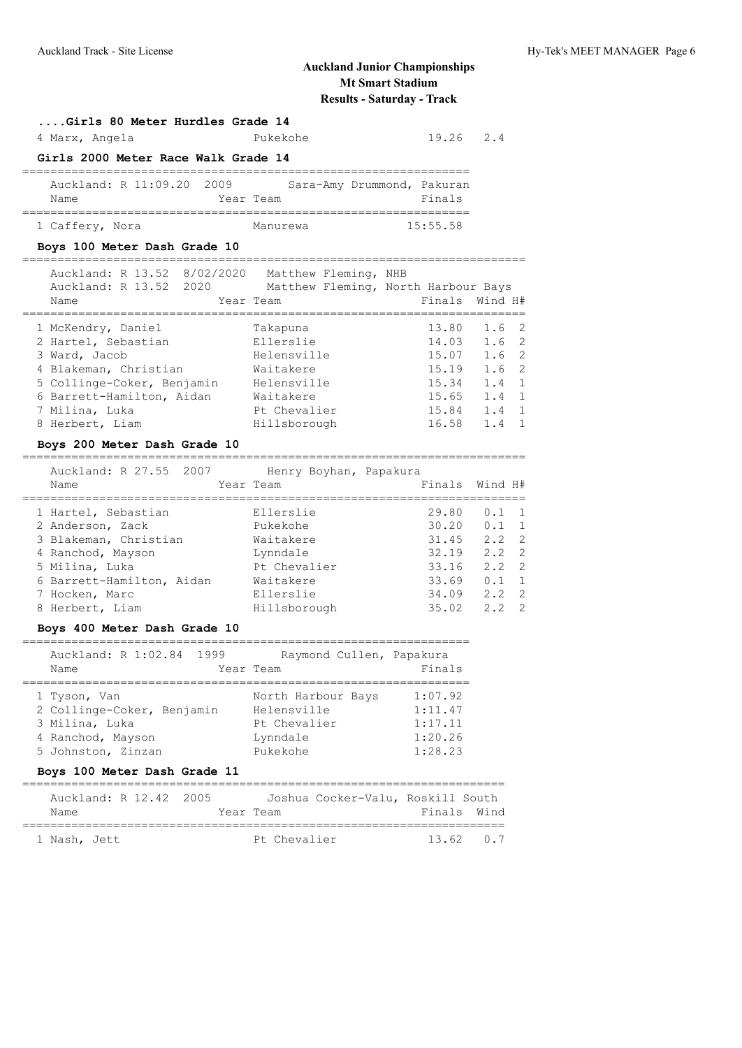#### **....Girls 80 Meter Hurdles Grade 14**

4 Marx, Angela Pukekohe 19.26 2.4

### **Girls 2000 Meter Race Walk Grade 14**

| Auckland: R 11:09.20 2009 |  |           |          | Sara-Amy Drummond, Pakuran |          |
|---------------------------|--|-----------|----------|----------------------------|----------|
| Name                      |  | Year Team |          |                            | Finals   |
|                           |  |           |          |                            |          |
| 1 Caffery, Nora           |  |           | Manurewa |                            | 15:55.58 |

# **Boys 100 Meter Dash Grade 10**

| Auckland: R 13.52 8/02/2020<br>Auckland: R 13.52 2020<br>Name | Matthew Fleming, NHB<br>Matthew Fleming, North Harbour Bays<br>Year Team | Finals Wind H# |                       |
|---------------------------------------------------------------|--------------------------------------------------------------------------|----------------|-----------------------|
| 1 McKendry, Daniel                                            | Takapuna                                                                 | 13.80          | $1.6-2$               |
|                                                               |                                                                          |                |                       |
| 2 Hartel, Sebastian                                           | Ellerslie                                                                | 14.03          | $1.6-2$               |
| 3 Ward, Jacob                                                 | Helensville                                                              | 15.07          | 1.6 <sub>2</sub>      |
| 4 Blakeman, Christian                                         | Waitakere                                                                | 15.19          | 1.6 <sub>2</sub>      |
| 5 Collinge-Coker, Benjamin                                    | Helensville                                                              | 15.34          | $1.4 \quad 1$         |
| 6 Barrett-Hamilton, Aidan                                     | Waitakere                                                                | 15.65          | $1.4 \quad 1$         |
| 7 Milina, Luka                                                | Pt Chevalier                                                             | 15.84          | $1.4 \quad 1$         |
| 8 Herbert, Liam                                               | Hillsborough                                                             | 16.58          | 1.4<br>$\overline{1}$ |
|                                                               |                                                                          |                |                       |

#### **Boys 200 Meter Dash Grade 10**

|  | Auckland: R 27.55 2007<br>Name | Henry Boyhan, Papakura<br>Year Team | Finals Wind H# |               |                |
|--|--------------------------------|-------------------------------------|----------------|---------------|----------------|
|  | 1 Hartel, Sebastian            | Ellerslie                           | 29.80          | 0.1           | $\overline{1}$ |
|  | 2 Anderson, Zack               | Pukekohe                            | 30.20          | $0.1 \quad 1$ |                |
|  | 3 Blakeman, Christian          | Waitakere                           | 31.45          | $2.2 \quad 2$ |                |
|  | 4 Ranchod, Mayson              | Lynndale                            | 32.19          | $2.2 \quad 2$ |                |
|  | 5 Milina, Luka                 | Pt Chevalier                        | 33.16          | $2.2 \quad 2$ |                |
|  | 6 Barrett-Hamilton, Aidan      | Waitakere                           | 33.69          | 0.1           | $\overline{1}$ |
|  | 7 Hocken, Marc                 | Ellerslie                           | 34.09          | $2.2 \quad 2$ |                |
|  | 8 Herbert, Liam                | Hillsborough                        | 35.02          | 2.2           | $\overline{2}$ |
|  |                                |                                     |                |               |                |

#### **Boys 400 Meter Dash Grade 10**

# ================================================================

| Auckland: R 1:02.84 1999<br>Name | Raymond Cullen, Papakura<br>Year Team | Finals  |
|----------------------------------|---------------------------------------|---------|
| 1 Tyson, Van                     | North Harbour Bays                    | 1:07.92 |
| 2 Collinge-Coker, Benjamin       | Helensville                           | 1:11.47 |
| 3 Milina, Luka                   | Pt Chevalier                          | 1:17.11 |
| 4 Ranchod, Mayson                | Lynndale                              | 1:20.26 |
| 5 Johnston, Zinzan               | Pukekohe                              | 1:28.23 |

## **Boys 100 Meter Dash Grade 11**

| Auckland: R 12.42 2005 |  |              | Joshua Cocker-Valu, Roskill South |             |
|------------------------|--|--------------|-----------------------------------|-------------|
| Name                   |  | Year Team    |                                   | Finals Wind |
|                        |  |              |                                   |             |
| 1 Nash, Jett           |  | Pt Chevalier |                                   | 136207      |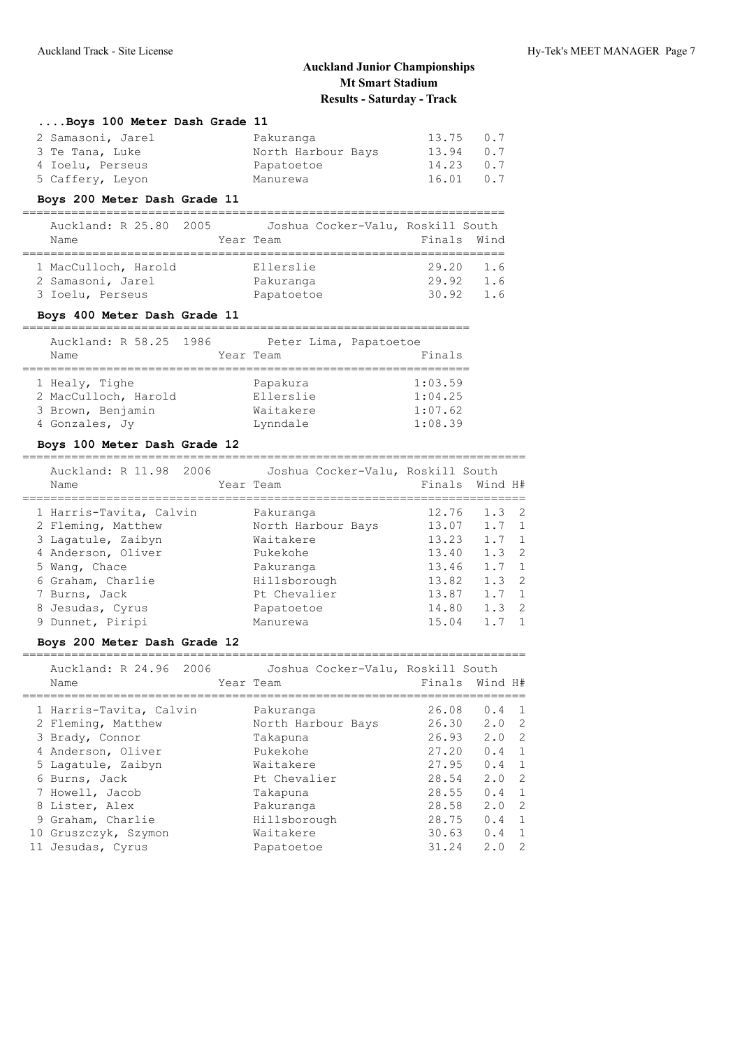#### **....Boys 100 Meter Dash Grade 11**

| 2 Samasoni, Jarel | Pakuranga          | $13.75$ 0.7 |  |
|-------------------|--------------------|-------------|--|
| 3 Te Tana, Luke   | North Harbour Bays | 13.94 0.7   |  |
| 4 Ioelu, Perseus  | Papatoetoe         | $14.23$ 0.7 |  |
| 5 Caffery, Leyon  | Manurewa           | 16.01 0.7   |  |

## **Boys 200 Meter Dash Grade 11**

| Auckland: R 25.80 2005 |  |            | Joshua Cocker-Valu, Roskill South |       |             |
|------------------------|--|------------|-----------------------------------|-------|-------------|
| Name                   |  | Year Team  |                                   |       | Finals Wind |
|                        |  |            |                                   |       |             |
| 1 MacCulloch, Harold   |  | Ellerslie  |                                   | 29.20 | 1.6         |
| 2 Samasoni, Jarel      |  | Pakuranga  |                                   | 29.92 | 1.6         |
| 3 Ioelu, Perseus       |  | Papatoetoe |                                   | 30.92 | 1.6         |

## **Boys 400 Meter Dash Grade 11**

| Auckland: R 58.25 1986 |           | Peter Lima, Papatoetoe |         |
|------------------------|-----------|------------------------|---------|
| Name                   | Year Team |                        | Finals  |
|                        |           |                        |         |
| 1 Healy, Tighe         |           | Papakura               | 1:03.59 |
| 2 MacCulloch, Harold   |           | Ellerslie              | 1:04.25 |
| 3 Brown, Benjamin      |           | Waitakere              | 1:07.62 |
| 4 Gonzales, Jy         |           | Lynndale               | 1:08.39 |

# **Boys 100 Meter Dash Grade 12**

|  | Auckland: R 11.98 2006<br>Name | Joshua Cocker-Valu, Roskill South<br>Year Team | Finals Wind H# |               |                |
|--|--------------------------------|------------------------------------------------|----------------|---------------|----------------|
|  | 1 Harris-Tavita, Calvin        | Pakuranga                                      | 12.76          | $1.3 \quad 2$ |                |
|  | 2 Fleming, Matthew             | North Harbour Bays                             | 13.07          | $1.7 \quad 1$ |                |
|  | 3 Lagatule, Zaibyn             | Waitakere                                      | 13.23          | $1.7 \quad 1$ |                |
|  | 4 Anderson, Oliver             | Pukekohe                                       | 13.40          | $1.3 \quad 2$ |                |
|  | 5 Wang, Chace                  | Pakuranga                                      | 13.46          | $1.7 \quad 1$ |                |
|  | 6 Graham, Charlie              | Hillsborough                                   | 13.82          | $1.3 \quad 2$ |                |
|  | 7 Burns, Jack                  | Pt Chevalier                                   | 13.87          | 1.7           | $\overline{1}$ |
|  | 8 Jesudas, Cyrus               | Papatoetoe                                     | 14.80          | $1.3 \quad 2$ |                |
|  | 9 Dunnet, Piripi               | Manurewa                                       | 15.04          |               | $\overline{1}$ |
|  |                                |                                                |                |               |                |

# **Boys 200 Meter Dash Grade 12**

| Auckland: R 24.96 2006<br>Name | Joshua Cocker-Valu, Roskill South<br>Year Team | Finals Wind H# |               |                |
|--------------------------------|------------------------------------------------|----------------|---------------|----------------|
| 1 Harris-Tavita, Calvin        | Pakuranga                                      | 26.08          | 0.4           | $\overline{1}$ |
| 2 Fleming, Matthew             | North Harbour Bays                             | 26.30          | $2.0 \quad 2$ |                |
| 3 Brady, Connor                | Takapuna                                       | 26.93          | $2.0 \quad 2$ |                |
| 4 Anderson, Oliver             | Pukekohe                                       | 27.20          | 0.4           | $\overline{1}$ |
| 5 Lagatule, Zaibyn             | Waitakere                                      | 27.95          | 0.4           | $\overline{1}$ |
| 6 Burns, Jack                  | Pt Chevalier                                   | 28.54          | 2.0           | $\overline{2}$ |
| 7 Howell, Jacob                | Takapuna                                       | 28.55          | 0.4           | $\overline{1}$ |
| 8 Lister, Alex                 | Pakuranga                                      | 28.58          | 2.0           | $\overline{2}$ |
| 9 Graham, Charlie              | Hillsborough                                   | 28.75          | 0.4           | $\overline{1}$ |
| 10 Gruszczyk, Szymon           | Waitakere                                      | 30.63          | 0.4           | $\overline{1}$ |
| 11 Jesudas, Cyrus              | Papatoetoe                                     | 31.24          | 2.0           | 2              |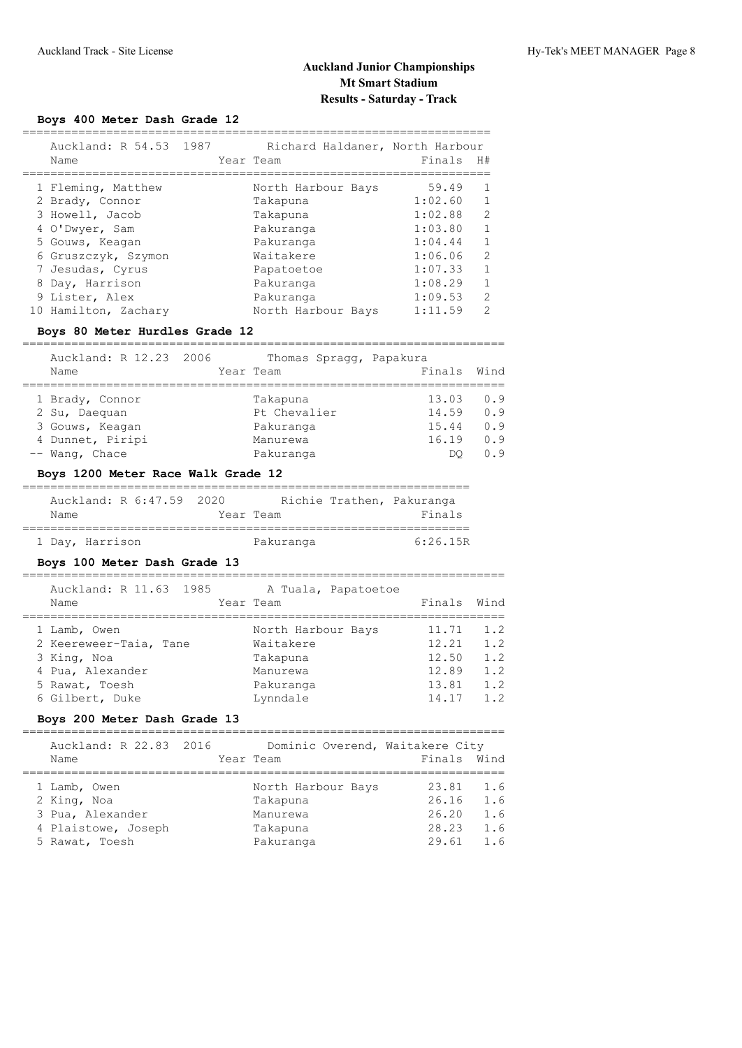## **Boys 400 Meter Dash Grade 12**

| Auckland: R 54.53 1987         | Richard Haldaner, North Harbour |           |                |
|--------------------------------|---------------------------------|-----------|----------------|
| Name                           | Year Team                       | Finals H# |                |
|                                |                                 |           |                |
| 1 Fleming, Matthew             | North Harbour Bays              | 59.49     | $\mathbf{1}$   |
| 2 Brady, Connor                | Takapuna                        | 1:02.60   | $\mathbf{1}$   |
| 3 Howell, Jacob                | Takapuna                        | 1:02.88   | $\overline{2}$ |
| 4 O'Dwyer, Sam                 | Pakuranga                       | 1:03.80   | $\mathbf{1}$   |
| 5 Gouws, Keagan                | Pakuranga                       | 1:04.44   | $\mathbf{1}$   |
| 6 Gruszczyk, Szymon            | Waitakere                       | 1:06.06   | $\overline{2}$ |
| 7 Jesudas, Cyrus               | Papatoetoe                      | 1:07.33   | $\mathbf{1}$   |
| 8 Day, Harrison                | Pakuranga                       | 1:08.29   | $\mathbf{1}$   |
| 9 Lister, Alex                 | Pakuranga                       | 1:09.53   | $\overline{2}$ |
| 10 Hamilton, Zachary           | North Harbour Bays              | 1:11.59   | $\overline{2}$ |
| Boys 80 Meter Hurdles Grade 12 |                                 |           |                |
| Auckland: R 12.23 2006         | Thomas Spragg, Papakura         |           |                |
| Name                           | Year Team                       | Finals    | Wind           |
| 1 Brady, Connor                | Takapuna                        | 13.03     | 0.9            |
| 2 Su, Daequan                  | Pt Chevalier                    | 14.59     | 0.9            |
| 3 Gouws, Keagan                | Pakuranga                       | 15.44     | 0.9            |
| 4 Dunnet, Piripi               | Manurewa                        | 16.19     | 0.9            |
| -- Wang, Chace                 | Pakuranga                       | DO .      | 0.9            |
|                                |                                 |           |                |

#### **Boys 1200 Meter Race Walk Grade 12**

| Auckland: R 6:47.59 2020 |           |           | Richie Trathen, Pakuranga |
|--------------------------|-----------|-----------|---------------------------|
| Name                     | Year Team |           | Finals                    |
| 1 Day, Harrison          |           | Pakuranga | 6:26.15R                  |

# **Boys 100 Meter Dash Grade 13**

| Auckland: R 11.63 1985 | A Tuala, Papatoetoe |        |      |
|------------------------|---------------------|--------|------|
| Name                   | Year Team           | Finals | Wind |
|                        |                     |        |      |
| 1 Lamb, Owen           | North Harbour Bays  | 11.71  | 1.2  |
| 2 Keereweer-Taia, Tane | Waitakere           | 12.21  | 1.2  |
| 3 King, Noa            | Takapuna            | 12.50  | 1.2  |
| 4 Pua, Alexander       | Manurewa            | 12.89  | 1.2  |
| 5 Rawat, Toesh         | Pakuranga           | 13.81  | 1.2  |
| 6 Gilbert, Duke        | Lynndale            | 14.17  | 1.2  |

## **Boys 200 Meter Dash Grade 13**

| Auckland: R 22.83 2016<br>Name                                                           | Dominic Overend, Waitakere City<br>Year Team                        | Finals Wind                               |                                 |
|------------------------------------------------------------------------------------------|---------------------------------------------------------------------|-------------------------------------------|---------------------------------|
| 1 Lamb, Owen<br>2 King, Noa<br>3 Pua, Alexander<br>4 Plaistowe, Joseph<br>5 Rawat, Toesh | North Harbour Bays<br>Takapuna<br>Manurewa<br>Takapuna<br>Pakuranga | 23.81<br>26.16<br>26.20<br>28.23<br>29.61 | 1.6<br>1.6<br>1.6<br>1.6<br>1.6 |
|                                                                                          |                                                                     |                                           |                                 |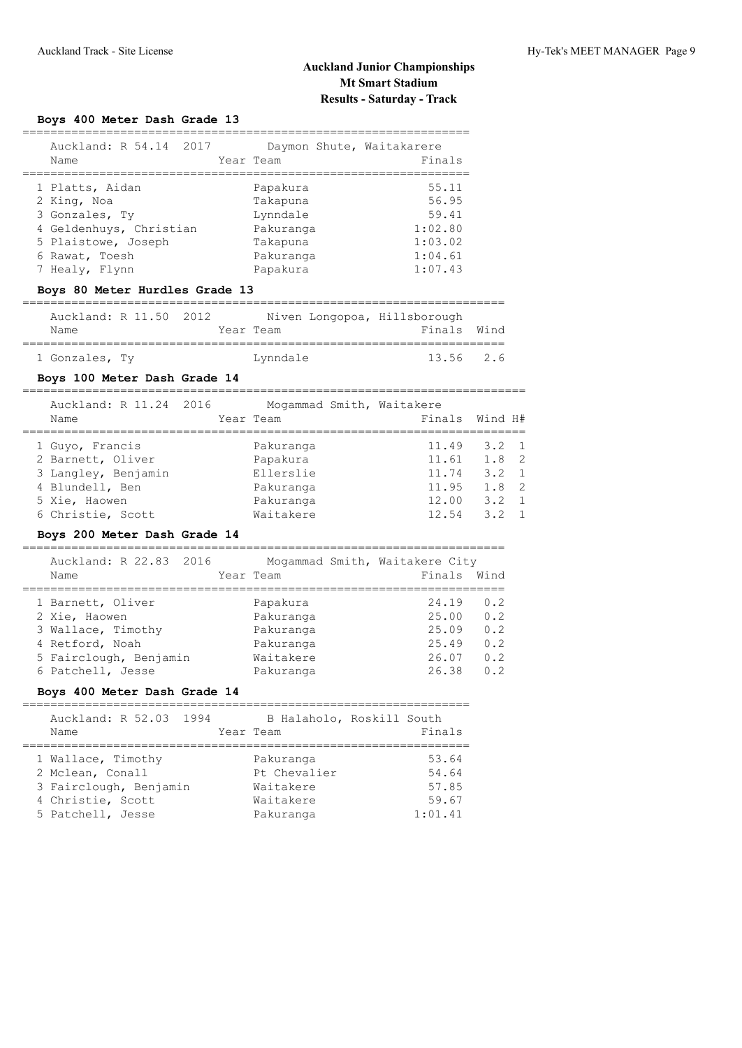## **Boys 400 Meter Dash Grade 13**

| Auckland: R 54.14 2017<br>Name | Daymon Shute, Waitakarere<br>Year Team | Finals  |
|--------------------------------|----------------------------------------|---------|
| 1 Platts, Aidan                | Papakura                               | 55.11   |
| 2 King, Noa                    | Takapuna                               | 56.95   |
| 3 Gonzales, Ty                 | Lynndale                               | 59.41   |
| 4 Geldenhuys, Christian        | Pakuranga                              | 1:02.80 |
| 5 Plaistowe, Joseph            | Takapuna                               | 1:03.02 |
| 6 Rawat, Toesh                 | Pakuranga                              | 1:04.61 |
| 7 Healy, Flynn                 | Papakura                               | 1:07.43 |
|                                |                                        |         |

#### **Boys 80 Meter Hurdles Grade 13**

| Auckland: R 11.50 2012 |  |           |          | Niven Longopoa, Hillsborough |  |
|------------------------|--|-----------|----------|------------------------------|--|
| Name                   |  | Year Team |          | Finals Wind                  |  |
|                        |  |           |          |                              |  |
| 1 Gonzales, Ty         |  |           | Lynndale | 13.56 2.6                    |  |

## **Boys 100 Meter Dash Grade 14**

========================================================================

| Auckland: R 11.24 2016<br>Name | Mogammad Smith, Waitakere<br>Year Team |       | Finals Wind H# |
|--------------------------------|----------------------------------------|-------|----------------|
| 1 Guyo, Francis                | Pakuranga                              | 11.49 | $3.2 \quad 1$  |
| 2 Barnett, Oliver              | Papakura                               | 11.61 | 1.8 2          |
| 3 Langley, Benjamin            | Ellerslie                              | 11.74 | $3.2 \quad 1$  |
| 4 Blundell, Ben                | Pakuranga                              | 11.95 | $1.8-2$        |
| 5 Xie, Haowen                  | Pakuranga                              | 12.00 | $3.2 \quad 1$  |
| 6 Christie, Scott              | Waitakere                              | 12.54 | $3.2 \quad 1$  |

## **Boys 200 Meter Dash Grade 14**

| Auckland: R 22.83 2016<br>Name | Mogammad Smith, Waitakere City<br>Year Team | Finals | Wind |
|--------------------------------|---------------------------------------------|--------|------|
|                                |                                             |        |      |
| 1 Barnett, Oliver              | Papakura                                    | 24.19  | 0.2  |
| 2 Xie, Haowen                  | Pakuranga                                   | 25.00  | 0.2  |
| 3 Wallace, Timothy             | Pakuranga                                   | 25.09  | 0.2  |
| 4 Retford, Noah                | Pakuranga                                   | 25.49  | 0.2  |
| 5 Fairclough, Benjamin         | Waitakere                                   | 26.07  | 0.2  |
| 6 Patchell, Jesse              | Pakuranga                                   | 26.38  | 0.2  |

## **Boys 400 Meter Dash Grade 14**

|  |  |  |  |  | $- -$ |  |  |  |  |  |
|--|--|--|--|--|-------|--|--|--|--|--|

| Auckland: R 52.03 1994<br>Name                                                                             | B Halaholo, Roskill South<br>Year Team                           | Finals                                      |
|------------------------------------------------------------------------------------------------------------|------------------------------------------------------------------|---------------------------------------------|
| 1 Wallace, Timothy<br>2 Mclean, Conall<br>3 Fairclough, Benjamin<br>4 Christie, Scott<br>5 Patchell, Jesse | Pakuranga<br>Pt Chevalier<br>Waitakere<br>Waitakere<br>Pakuranga | 53.64<br>54.64<br>57.85<br>59.67<br>1:01.41 |